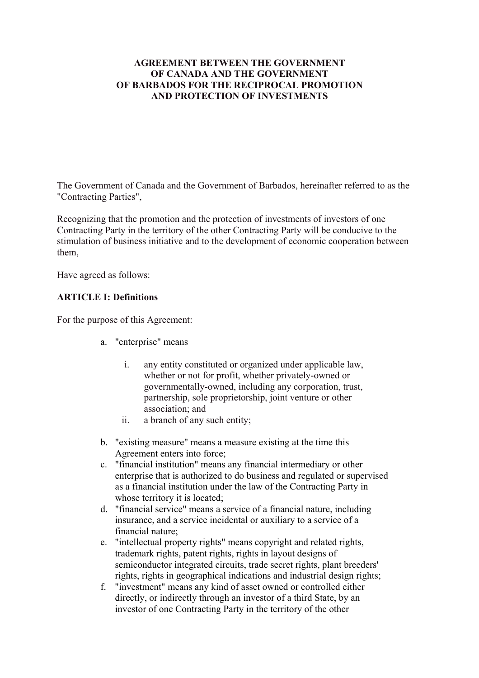## **AGREEMENT BETWEEN THE GOVERNMENT OF CANADA AND THE GOVERNMENT OF BARBADOS FOR THE RECIPROCAL PROMOTION AND PROTECTION OF INVESTMENTS**

The Government of Canada and the Government of Barbados, hereinafter referred to as the "Contracting Parties",

Recognizing that the promotion and the protection of investments of investors of one Contracting Party in the territory of the other Contracting Party will be conducive to the stimulation of business initiative and to the development of economic cooperation between them,

Have agreed as follows:

# **ARTICLE I: Definitions**

For the purpose of this Agreement:

- a. "enterprise" means
	- i. any entity constituted or organized under applicable law, whether or not for profit, whether privately-owned or governmentally-owned, including any corporation, trust, partnership, sole proprietorship, joint venture or other association; and
	- ii. a branch of any such entity;
- b. "existing measure" means a measure existing at the time this Agreement enters into force;
- c. "financial institution" means any financial intermediary or other enterprise that is authorized to do business and regulated or supervised as a financial institution under the law of the Contracting Party in whose territory it is located;
- d. "financial service" means a service of a financial nature, including insurance, and a service incidental or auxiliary to a service of a financial nature;
- e. "intellectual property rights" means copyright and related rights, trademark rights, patent rights, rights in layout designs of semiconductor integrated circuits, trade secret rights, plant breeders' rights, rights in geographical indications and industrial design rights;
- f. "investment" means any kind of asset owned or controlled either directly, or indirectly through an investor of a third State, by an investor of one Contracting Party in the territory of the other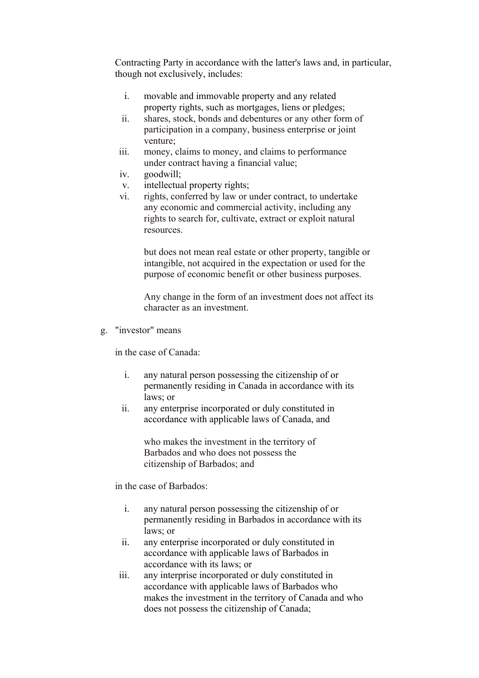Contracting Party in accordance with the latter's laws and, in particular, though not exclusively, includes:

- i. movable and immovable property and any related property rights, such as mortgages, liens or pledges;
- ii. shares, stock, bonds and debentures or any other form of participation in a company, business enterprise or joint venture;
- iii. money, claims to money, and claims to performance under contract having a financial value;
- iv. goodwill;
- v. intellectual property rights;
- vi. rights, conferred by law or under contract, to undertake any economic and commercial activity, including any rights to search for, cultivate, extract or exploit natural resources.

but does not mean real estate or other property, tangible or intangible, not acquired in the expectation or used for the purpose of economic benefit or other business purposes.

Any change in the form of an investment does not affect its character as an investment.

g. "investor" means

in the case of Canada:

- i. any natural person possessing the citizenship of or permanently residing in Canada in accordance with its laws; or
- ii. any enterprise incorporated or duly constituted in accordance with applicable laws of Canada, and

who makes the investment in the territory of Barbados and who does not possess the citizenship of Barbados; and

in the case of Barbados:

- i. any natural person possessing the citizenship of or permanently residing in Barbados in accordance with its laws; or
- ii. any enterprise incorporated or duly constituted in accordance with applicable laws of Barbados in accordance with its laws; or
- iii. any interprise incorporated or duly constituted in accordance with applicable laws of Barbados who makes the investment in the territory of Canada and who does not possess the citizenship of Canada;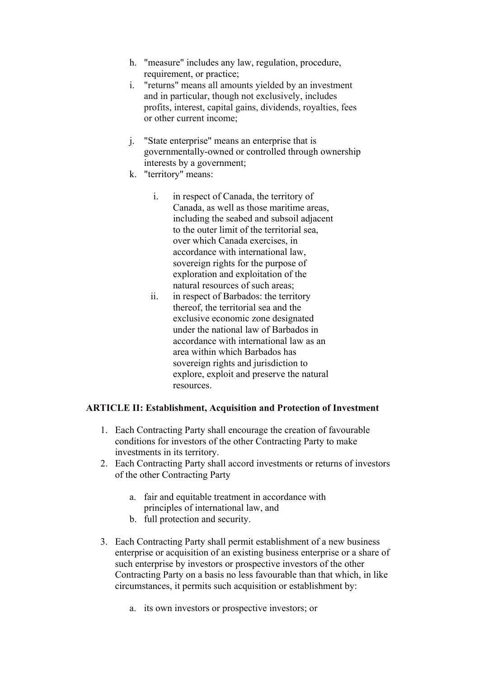- h. "measure" includes any law, regulation, procedure, requirement, or practice;
- i. "returns" means all amounts yielded by an investment and in particular, though not exclusively, includes profits, interest, capital gains, dividends, royalties, fees or other current income;
- j. "State enterprise" means an enterprise that is governmentally-owned or controlled through ownership interests by a government;
- k. "territory" means:
	- i. in respect of Canada, the territory of Canada, as well as those maritime areas, including the seabed and subsoil adjacent to the outer limit of the territorial sea, over which Canada exercises, in accordance with international law, sovereign rights for the purpose of exploration and exploitation of the natural resources of such areas;
	- ii. in respect of Barbados: the territory thereof, the territorial sea and the exclusive economic zone designated under the national law of Barbados in accordance with international law as an area within which Barbados has sovereign rights and jurisdiction to explore, exploit and preserve the natural resources.

## **ARTICLE II: Establishment, Acquisition and Protection of Investment**

- 1. Each Contracting Party shall encourage the creation of favourable conditions for investors of the other Contracting Party to make investments in its territory.
- 2. Each Contracting Party shall accord investments or returns of investors of the other Contracting Party
	- a. fair and equitable treatment in accordance with principles of international law, and
	- b. full protection and security.
- 3. Each Contracting Party shall permit establishment of a new business enterprise or acquisition of an existing business enterprise or a share of such enterprise by investors or prospective investors of the other Contracting Party on a basis no less favourable than that which, in like circumstances, it permits such acquisition or establishment by:
	- a. its own investors or prospective investors; or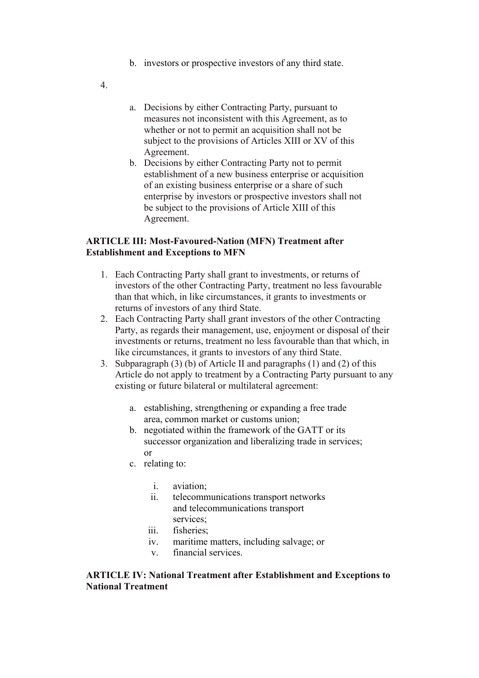- b. investors or prospective investors of any third state.
- 4.
- a. Decisions by either Contracting Party, pursuant to measures not inconsistent with this Agreement, as to whether or not to permit an acquisition shall not be subject to the provisions of Articles XIII or XV of this Agreement.
- b. Decisions by either Contracting Party not to permit establishment of a new business enterprise or acquisition of an existing business enterprise or a share of such enterprise by investors or prospective investors shall not be subject to the provisions of Article XIII of this Agreement.

### **ARTICLE III: Most-Favoured-Nation (MFN) Treatment after Establishment and Exceptions to MFN**

- 1. Each Contracting Party shall grant to investments, or returns of investors of the other Contracting Party, treatment no less favourable than that which, in like circumstances, it grants to investments or returns of investors of any third State.
- 2. Each Contracting Party shall grant investors of the other Contracting Party, as regards their management, use, enjoyment or disposal of their investments or returns, treatment no less favourable than that which, in like circumstances, it grants to investors of any third State.
- 3. Subparagraph (3) (b) of Article II and paragraphs (1) and (2) of this Article do not apply to treatment by a Contracting Party pursuant to any existing or future bilateral or multilateral agreement:
	- a. establishing, strengthening or expanding a free trade area, common market or customs union;
	- b. negotiated within the framework of the GATT or its successor organization and liberalizing trade in services; or
	- c. relating to:
		- i. aviation;
		- ii. telecommunications transport networks and telecommunications transport services<sup>.</sup>
		- iii. fisheries;
		- iv. maritime matters, including salvage; or
		- v. financial services.

#### **ARTICLE IV: National Treatment after Establishment and Exceptions to National Treatment**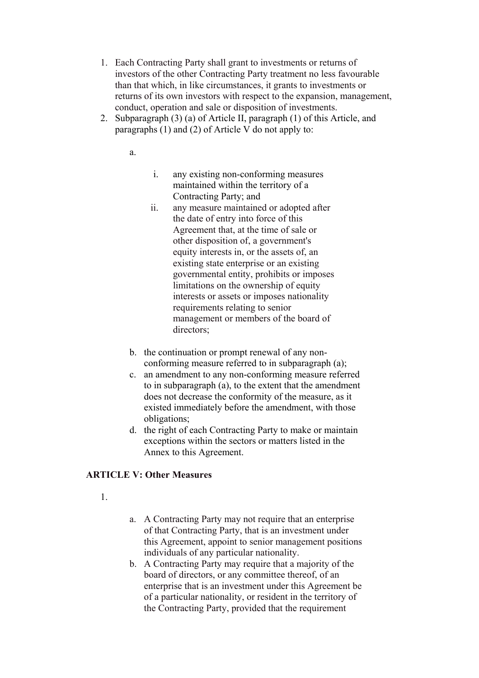- 1. Each Contracting Party shall grant to investments or returns of investors of the other Contracting Party treatment no less favourable than that which, in like circumstances, it grants to investments or returns of its own investors with respect to the expansion, management, conduct, operation and sale or disposition of investments.
- 2. Subparagraph (3) (a) of Article II, paragraph (1) of this Article, and paragraphs (1) and (2) of Article V do not apply to:

a.

- i. any existing non-conforming measures maintained within the territory of a Contracting Party; and
- ii. any measure maintained or adopted after the date of entry into force of this Agreement that, at the time of sale or other disposition of, a government's equity interests in, or the assets of, an existing state enterprise or an existing governmental entity, prohibits or imposes limitations on the ownership of equity interests or assets or imposes nationality requirements relating to senior management or members of the board of directors;
- b. the continuation or prompt renewal of any nonconforming measure referred to in subparagraph (a);
- c. an amendment to any non-conforming measure referred to in subparagraph (a), to the extent that the amendment does not decrease the conformity of the measure, as it existed immediately before the amendment, with those obligations;
- d. the right of each Contracting Party to make or maintain exceptions within the sectors or matters listed in the Annex to this Agreement.

## **ARTICLE V: Other Measures**

- 1.
- a. A Contracting Party may not require that an enterprise of that Contracting Party, that is an investment under this Agreement, appoint to senior management positions individuals of any particular nationality.
- b. A Contracting Party may require that a majority of the board of directors, or any committee thereof, of an enterprise that is an investment under this Agreement be of a particular nationality, or resident in the territory of the Contracting Party, provided that the requirement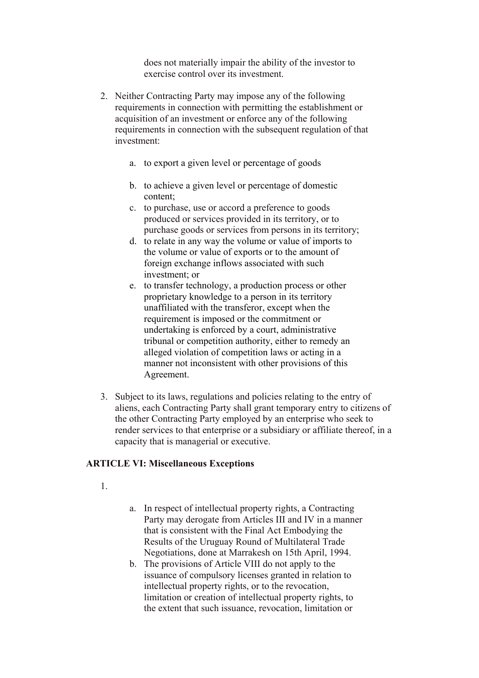does not materially impair the ability of the investor to exercise control over its investment.

- 2. Neither Contracting Party may impose any of the following requirements in connection with permitting the establishment or acquisition of an investment or enforce any of the following requirements in connection with the subsequent regulation of that investment:
	- a. to export a given level or percentage of goods
	- b. to achieve a given level or percentage of domestic content;
	- c. to purchase, use or accord a preference to goods produced or services provided in its territory, or to purchase goods or services from persons in its territory;
	- d. to relate in any way the volume or value of imports to the volume or value of exports or to the amount of foreign exchange inflows associated with such investment; or
	- e. to transfer technology, a production process or other proprietary knowledge to a person in its territory unaffiliated with the transferor, except when the requirement is imposed or the commitment or undertaking is enforced by a court, administrative tribunal or competition authority, either to remedy an alleged violation of competition laws or acting in a manner not inconsistent with other provisions of this Agreement.
- 3. Subject to its laws, regulations and policies relating to the entry of aliens, each Contracting Party shall grant temporary entry to citizens of the other Contracting Party employed by an enterprise who seek to render services to that enterprise or a subsidiary or affiliate thereof, in a capacity that is managerial or executive.

## **ARTICLE VI: Miscellaneous Exceptions**

- 1.
- a. In respect of intellectual property rights, a Contracting Party may derogate from Articles III and IV in a manner that is consistent with the Final Act Embodying the Results of the Uruguay Round of Multilateral Trade Negotiations, done at Marrakesh on 15th April, 1994.
- b. The provisions of Article VIII do not apply to the issuance of compulsory licenses granted in relation to intellectual property rights, or to the revocation, limitation or creation of intellectual property rights, to the extent that such issuance, revocation, limitation or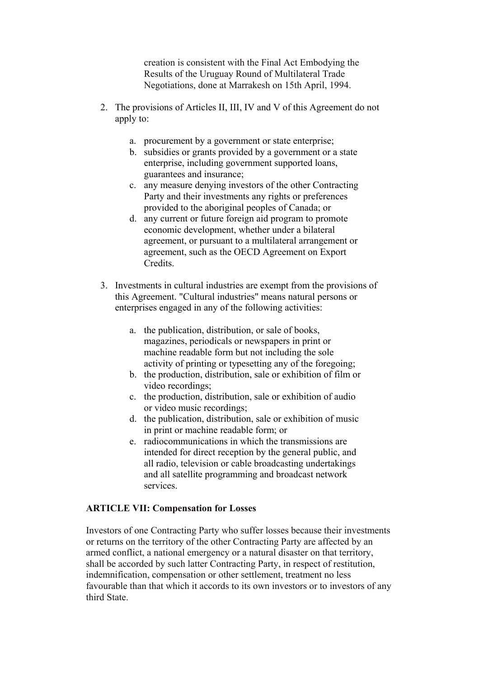creation is consistent with the Final Act Embodying the Results of the Uruguay Round of Multilateral Trade Negotiations, done at Marrakesh on 15th April, 1994.

- 2. The provisions of Articles II, III, IV and V of this Agreement do not apply to:
	- a. procurement by a government or state enterprise;
	- b. subsidies or grants provided by a government or a state enterprise, including government supported loans, guarantees and insurance;
	- c. any measure denying investors of the other Contracting Party and their investments any rights or preferences provided to the aboriginal peoples of Canada; or
	- d. any current or future foreign aid program to promote economic development, whether under a bilateral agreement, or pursuant to a multilateral arrangement or agreement, such as the OECD Agreement on Export **Credits**
- 3. Investments in cultural industries are exempt from the provisions of this Agreement. "Cultural industries" means natural persons or enterprises engaged in any of the following activities:
	- a. the publication, distribution, or sale of books, magazines, periodicals or newspapers in print or machine readable form but not including the sole activity of printing or typesetting any of the foregoing;
	- b. the production, distribution, sale or exhibition of film or video recordings;
	- c. the production, distribution, sale or exhibition of audio or video music recordings;
	- d. the publication, distribution, sale or exhibition of music in print or machine readable form; or
	- e. radiocommunications in which the transmissions are intended for direct reception by the general public, and all radio, television or cable broadcasting undertakings and all satellite programming and broadcast network services.

## **ARTICLE VII: Compensation for Losses**

Investors of one Contracting Party who suffer losses because their investments or returns on the territory of the other Contracting Party are affected by an armed conflict, a national emergency or a natural disaster on that territory, shall be accorded by such latter Contracting Party, in respect of restitution, indemnification, compensation or other settlement, treatment no less favourable than that which it accords to its own investors or to investors of any third State.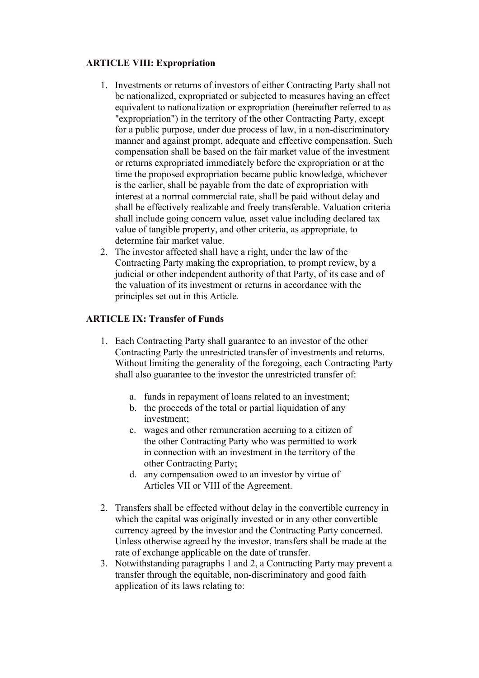### **ARTICLE VIII: Expropriation**

- 1. Investments or returns of investors of either Contracting Party shall not be nationalized, expropriated or subjected to measures having an effect equivalent to nationalization or expropriation (hereinafter referred to as "expropriation") in the territory of the other Contracting Party, except for a public purpose, under due process of law, in a non-discriminatory manner and against prompt, adequate and effective compensation. Such compensation shall be based on the fair market value of the investment or returns expropriated immediately before the expropriation or at the time the proposed expropriation became public knowledge, whichever is the earlier, shall be payable from the date of expropriation with interest at a normal commercial rate, shall be paid without delay and shall be effectively realizable and freely transferable. Valuation criteria shall include going concern value*,* asset value including declared tax value of tangible property, and other criteria, as appropriate, to determine fair market value.
- 2. The investor affected shall have a right, under the law of the Contracting Party making the expropriation, to prompt review, by a judicial or other independent authority of that Party, of its case and of the valuation of its investment or returns in accordance with the principles set out in this Article.

## **ARTICLE IX: Transfer of Funds**

- 1. Each Contracting Party shall guarantee to an investor of the other Contracting Party the unrestricted transfer of investments and returns. Without limiting the generality of the foregoing, each Contracting Party shall also guarantee to the investor the unrestricted transfer of:
	- a. funds in repayment of loans related to an investment;
	- b. the proceeds of the total or partial liquidation of any investment;
	- c. wages and other remuneration accruing to a citizen of the other Contracting Party who was permitted to work in connection with an investment in the territory of the other Contracting Party;
	- d. any compensation owed to an investor by virtue of Articles VII or VIII of the Agreement.
- 2. Transfers shall be effected without delay in the convertible currency in which the capital was originally invested or in any other convertible currency agreed by the investor and the Contracting Party concerned. Unless otherwise agreed by the investor, transfers shall be made at the rate of exchange applicable on the date of transfer.
- 3. Notwithstanding paragraphs 1 and 2, a Contracting Party may prevent a transfer through the equitable, non-discriminatory and good faith application of its laws relating to: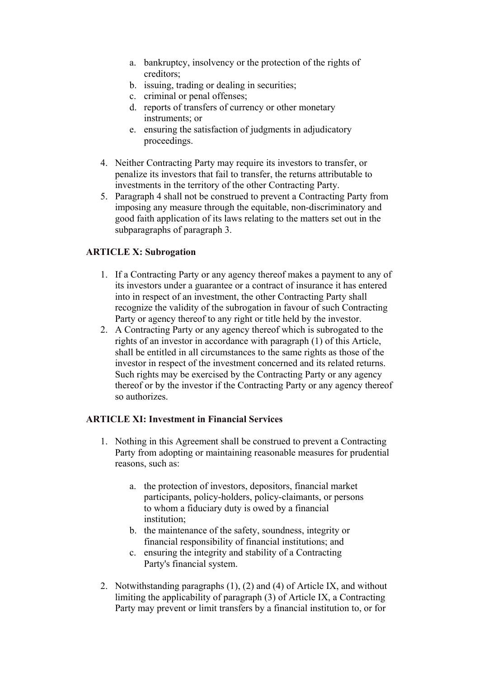- a. bankruptcy, insolvency or the protection of the rights of creditors;
- b. issuing, trading or dealing in securities;
- c. criminal or penal offenses;
- d. reports of transfers of currency or other monetary instruments; or
- e. ensuring the satisfaction of judgments in adjudicatory proceedings.
- 4. Neither Contracting Party may require its investors to transfer, or penalize its investors that fail to transfer, the returns attributable to investments in the territory of the other Contracting Party.
- 5. Paragraph 4 shall not be construed to prevent a Contracting Party from imposing any measure through the equitable, non-discriminatory and good faith application of its laws relating to the matters set out in the subparagraphs of paragraph 3.

## **ARTICLE X: Subrogation**

- 1. If a Contracting Party or any agency thereof makes a payment to any of its investors under a guarantee or a contract of insurance it has entered into in respect of an investment, the other Contracting Party shall recognize the validity of the subrogation in favour of such Contracting Party or agency thereof to any right or title held by the investor.
- 2. A Contracting Party or any agency thereof which is subrogated to the rights of an investor in accordance with paragraph (1) of this Article, shall be entitled in all circumstances to the same rights as those of the investor in respect of the investment concerned and its related returns. Such rights may be exercised by the Contracting Party or any agency thereof or by the investor if the Contracting Party or any agency thereof so authorizes.

### **ARTICLE XI: Investment in Financial Services**

- 1. Nothing in this Agreement shall be construed to prevent a Contracting Party from adopting or maintaining reasonable measures for prudential reasons, such as:
	- a. the protection of investors, depositors, financial market participants, policy-holders, policy-claimants, or persons to whom a fiduciary duty is owed by a financial institution;
	- b. the maintenance of the safety, soundness, integrity or financial responsibility of financial institutions; and
	- c. ensuring the integrity and stability of a Contracting Party's financial system.
- 2. Notwithstanding paragraphs (1), (2) and (4) of Article IX, and without limiting the applicability of paragraph (3) of Article IX, a Contracting Party may prevent or limit transfers by a financial institution to, or for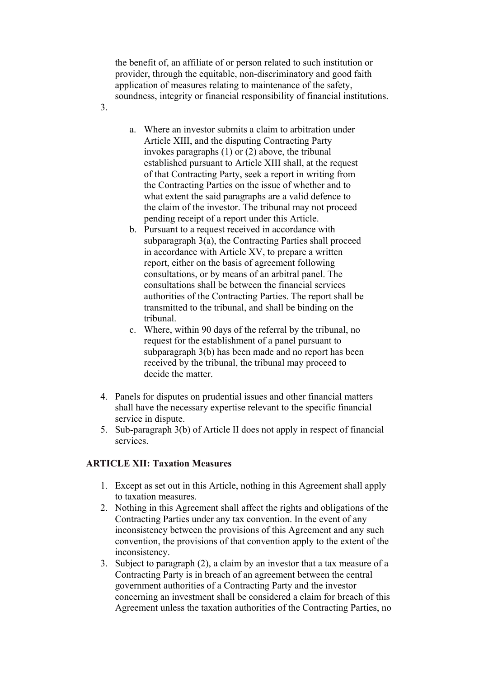the benefit of, an affiliate of or person related to such institution or provider, through the equitable, non-discriminatory and good faith application of measures relating to maintenance of the safety, soundness, integrity or financial responsibility of financial institutions.

3.

- a. Where an investor submits a claim to arbitration under Article XIII, and the disputing Contracting Party invokes paragraphs (1) or (2) above, the tribunal established pursuant to Article XIII shall, at the request of that Contracting Party, seek a report in writing from the Contracting Parties on the issue of whether and to what extent the said paragraphs are a valid defence to the claim of the investor. The tribunal may not proceed pending receipt of a report under this Article.
- b. Pursuant to a request received in accordance with subparagraph 3(a), the Contracting Parties shall proceed in accordance with Article XV, to prepare a written report, either on the basis of agreement following consultations, or by means of an arbitral panel. The consultations shall be between the financial services authorities of the Contracting Parties. The report shall be transmitted to the tribunal, and shall be binding on the tribunal.
- c. Where, within 90 days of the referral by the tribunal, no request for the establishment of a panel pursuant to subparagraph 3(b) has been made and no report has been received by the tribunal, the tribunal may proceed to decide the matter.
- 4. Panels for disputes on prudential issues and other financial matters shall have the necessary expertise relevant to the specific financial service in dispute.
- 5. Sub-paragraph 3(b) of Article II does not apply in respect of financial services.

## **ARTICLE XII: Taxation Measures**

- 1. Except as set out in this Article, nothing in this Agreement shall apply to taxation measures.
- 2. Nothing in this Agreement shall affect the rights and obligations of the Contracting Parties under any tax convention. In the event of any inconsistency between the provisions of this Agreement and any such convention, the provisions of that convention apply to the extent of the inconsistency.
- 3. Subject to paragraph (2), a claim by an investor that a tax measure of a Contracting Party is in breach of an agreement between the central government authorities of a Contracting Party and the investor concerning an investment shall be considered a claim for breach of this Agreement unless the taxation authorities of the Contracting Parties, no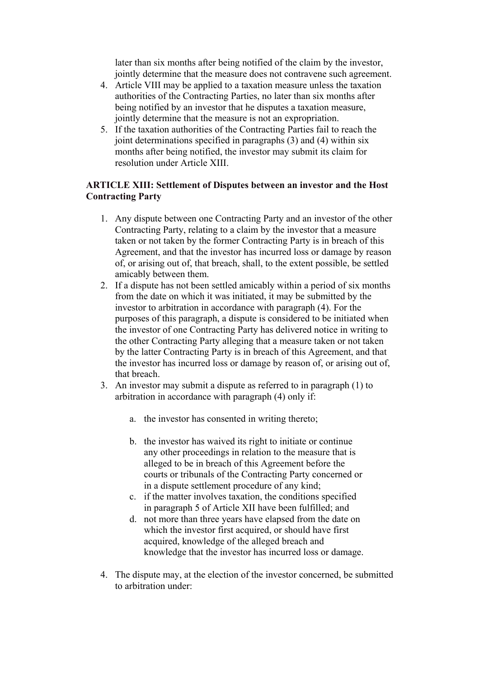later than six months after being notified of the claim by the investor, jointly determine that the measure does not contravene such agreement.

- 4. Article VIII may be applied to a taxation measure unless the taxation authorities of the Contracting Parties, no later than six months after being notified by an investor that he disputes a taxation measure, jointly determine that the measure is not an expropriation.
- 5. If the taxation authorities of the Contracting Parties fail to reach the joint determinations specified in paragraphs (3) and (4) within six months after being notified, the investor may submit its claim for resolution under Article XIII.

## **ARTICLE XIII: Settlement of Disputes between an investor and the Host Contracting Party**

- 1. Any dispute between one Contracting Party and an investor of the other Contracting Party, relating to a claim by the investor that a measure taken or not taken by the former Contracting Party is in breach of this Agreement, and that the investor has incurred loss or damage by reason of, or arising out of, that breach, shall, to the extent possible, be settled amicably between them.
- 2. If a dispute has not been settled amicably within a period of six months from the date on which it was initiated, it may be submitted by the investor to arbitration in accordance with paragraph (4). For the purposes of this paragraph, a dispute is considered to be initiated when the investor of one Contracting Party has delivered notice in writing to the other Contracting Party alleging that a measure taken or not taken by the latter Contracting Party is in breach of this Agreement, and that the investor has incurred loss or damage by reason of, or arising out of, that breach.
- 3. An investor may submit a dispute as referred to in paragraph (1) to arbitration in accordance with paragraph (4) only if:
	- a. the investor has consented in writing thereto;
	- b. the investor has waived its right to initiate or continue any other proceedings in relation to the measure that is alleged to be in breach of this Agreement before the courts or tribunals of the Contracting Party concerned or in a dispute settlement procedure of any kind;
	- c. if the matter involves taxation, the conditions specified in paragraph 5 of Article XII have been fulfilled; and
	- d. not more than three years have elapsed from the date on which the investor first acquired, or should have first acquired, knowledge of the alleged breach and knowledge that the investor has incurred loss or damage.
- 4. The dispute may, at the election of the investor concerned, be submitted to arbitration under: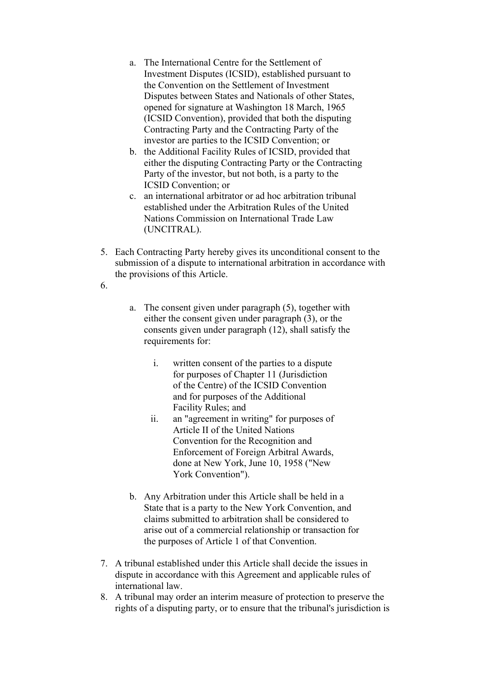- a. The International Centre for the Settlement of Investment Disputes (ICSID), established pursuant to the Convention on the Settlement of Investment Disputes between States and Nationals of other States, opened for signature at Washington 18 March, 1965 (ICSID Convention), provided that both the disputing Contracting Party and the Contracting Party of the investor are parties to the ICSID Convention; or
- b. the Additional Facility Rules of ICSID, provided that either the disputing Contracting Party or the Contracting Party of the investor, but not both, is a party to the ICSID Convention; or
- c. an international arbitrator or ad hoc arbitration tribunal established under the Arbitration Rules of the United Nations Commission on International Trade Law (UNCITRAL).
- 5. Each Contracting Party hereby gives its unconditional consent to the submission of a dispute to international arbitration in accordance with the provisions of this Article.
- 6.
- a. The consent given under paragraph (5), together with either the consent given under paragraph (3), or the consents given under paragraph (12), shall satisfy the requirements for:
	- i. written consent of the parties to a dispute for purposes of Chapter 11 (Jurisdiction of the Centre) of the ICSID Convention and for purposes of the Additional Facility Rules; and
	- ii. an "agreement in writing" for purposes of Article II of the United Nations Convention for the Recognition and Enforcement of Foreign Arbitral Awards, done at New York, June 10, 1958 ("New York Convention").
- b. Any Arbitration under this Article shall be held in a State that is a party to the New York Convention, and claims submitted to arbitration shall be considered to arise out of a commercial relationship or transaction for the purposes of Article 1 of that Convention.
- 7. A tribunal established under this Article shall decide the issues in dispute in accordance with this Agreement and applicable rules of international law.
- 8. A tribunal may order an interim measure of protection to preserve the rights of a disputing party, or to ensure that the tribunal's jurisdiction is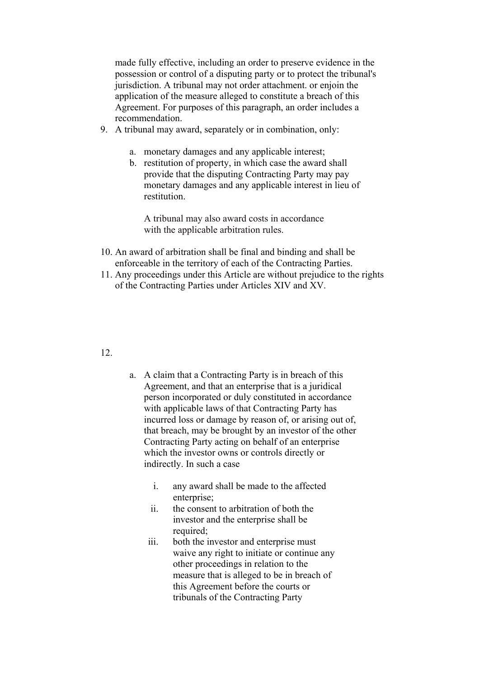made fully effective, including an order to preserve evidence in the possession or control of a disputing party or to protect the tribunal's jurisdiction. A tribunal may not order attachment. or enjoin the application of the measure alleged to constitute a breach of this Agreement. For purposes of this paragraph, an order includes a recommendation.

- 9. A tribunal may award, separately or in combination, only:
	- a. monetary damages and any applicable interest;
	- b. restitution of property, in which case the award shall provide that the disputing Contracting Party may pay monetary damages and any applicable interest in lieu of restitution.

A tribunal may also award costs in accordance with the applicable arbitration rules.

- 10. An award of arbitration shall be final and binding and shall be enforceable in the territory of each of the Contracting Parties.
- 11. Any proceedings under this Article are without prejudice to the rights of the Contracting Parties under Articles XIV and XV.

## 12.

- a. A claim that a Contracting Party is in breach of this Agreement, and that an enterprise that is a juridical person incorporated or duly constituted in accordance with applicable laws of that Contracting Party has incurred loss or damage by reason of, or arising out of, that breach, may be brought by an investor of the other Contracting Party acting on behalf of an enterprise which the investor owns or controls directly or indirectly. In such a case
	- i. any award shall be made to the affected enterprise:
	- ii. the consent to arbitration of both the investor and the enterprise shall be required:
	- iii. both the investor and enterprise must waive any right to initiate or continue any other proceedings in relation to the measure that is alleged to be in breach of this Agreement before the courts or tribunals of the Contracting Party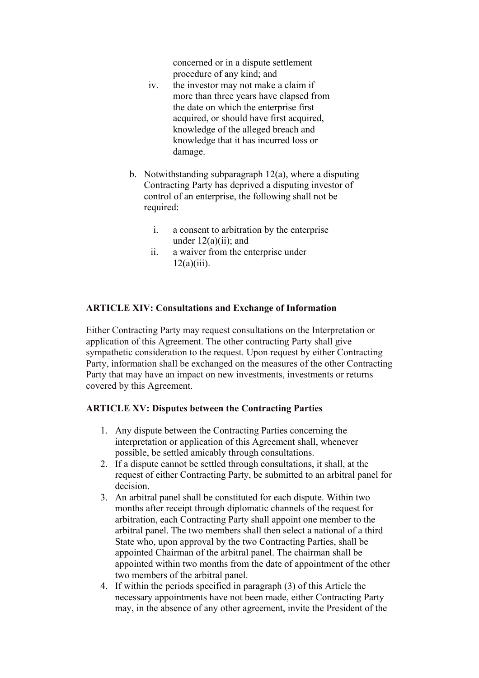concerned or in a dispute settlement procedure of any kind; and

- iv. the investor may not make a claim if more than three years have elapsed from the date on which the enterprise first acquired, or should have first acquired, knowledge of the alleged breach and knowledge that it has incurred loss or damage.
- b. Notwithstanding subparagraph 12(a), where a disputing Contracting Party has deprived a disputing investor of control of an enterprise, the following shall not be required:
	- i. a consent to arbitration by the enterprise under  $12(a)(ii)$ ; and
	- ii. a waiver from the enterprise under  $12(a)(iii)$ .

## **ARTICLE XIV: Consultations and Exchange of Information**

Either Contracting Party may request consultations on the Interpretation or application of this Agreement. The other contracting Party shall give sympathetic consideration to the request. Upon request by either Contracting Party, information shall be exchanged on the measures of the other Contracting Party that may have an impact on new investments, investments or returns covered by this Agreement.

#### **ARTICLE XV: Disputes between the Contracting Parties**

- 1. Any dispute between the Contracting Parties concerning the interpretation or application of this Agreement shall, whenever possible, be settled amicably through consultations.
- 2. If a dispute cannot be settled through consultations, it shall, at the request of either Contracting Party, be submitted to an arbitral panel for decision.
- 3. An arbitral panel shall be constituted for each dispute. Within two months after receipt through diplomatic channels of the request for arbitration, each Contracting Party shall appoint one member to the arbitral panel. The two members shall then select a national of a third State who, upon approval by the two Contracting Parties, shall be appointed Chairman of the arbitral panel. The chairman shall be appointed within two months from the date of appointment of the other two members of the arbitral panel.
- 4. If within the periods specified in paragraph (3) of this Article the necessary appointments have not been made, either Contracting Party may, in the absence of any other agreement, invite the President of the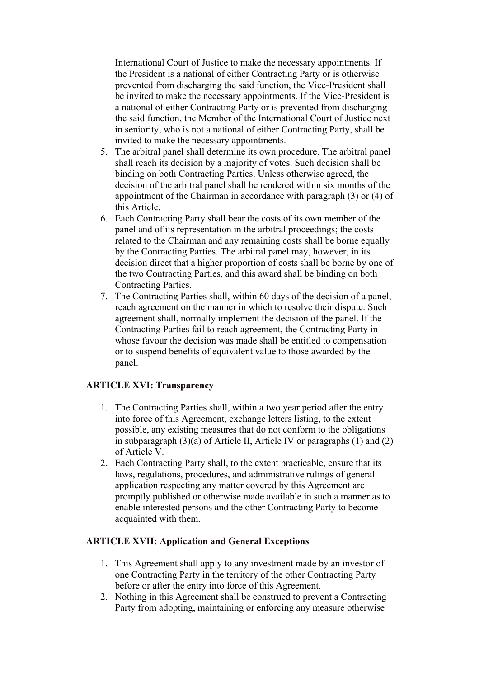International Court of Justice to make the necessary appointments. If the President is a national of either Contracting Party or is otherwise prevented from discharging the said function, the Vice-President shall be invited to make the necessary appointments. If the Vice-President is a national of either Contracting Party or is prevented from discharging the said function, the Member of the International Court of Justice next in seniority, who is not a national of either Contracting Party, shall be invited to make the necessary appointments.

- 5. The arbitral panel shall determine its own procedure. The arbitral panel shall reach its decision by a majority of votes. Such decision shall be binding on both Contracting Parties. Unless otherwise agreed, the decision of the arbitral panel shall be rendered within six months of the appointment of the Chairman in accordance with paragraph (3) or (4) of this Article.
- 6. Each Contracting Party shall bear the costs of its own member of the panel and of its representation in the arbitral proceedings; the costs related to the Chairman and any remaining costs shall be borne equally by the Contracting Parties. The arbitral panel may, however, in its decision direct that a higher proportion of costs shall be borne by one of the two Contracting Parties, and this award shall be binding on both Contracting Parties.
- 7. The Contracting Parties shall, within 60 days of the decision of a panel, reach agreement on the manner in which to resolve their dispute. Such agreement shall, normally implement the decision of the panel. If the Contracting Parties fail to reach agreement, the Contracting Party in whose favour the decision was made shall be entitled to compensation or to suspend benefits of equivalent value to those awarded by the panel.

## **ARTICLE XVI: Transparency**

- 1. The Contracting Parties shall, within a two year period after the entry into force of this Agreement, exchange letters listing, to the extent possible, any existing measures that do not conform to the obligations in subparagraph  $(3)(a)$  of Article II, Article IV or paragraphs  $(1)$  and  $(2)$ of Article V.
- 2. Each Contracting Party shall, to the extent practicable, ensure that its laws, regulations, procedures, and administrative rulings of general application respecting any matter covered by this Agreement are promptly published or otherwise made available in such a manner as to enable interested persons and the other Contracting Party to become acquainted with them.

### **ARTICLE XVII: Application and General Exceptions**

- 1. This Agreement shall apply to any investment made by an investor of one Contracting Party in the territory of the other Contracting Party before or after the entry into force of this Agreement.
- 2. Nothing in this Agreement shall be construed to prevent a Contracting Party from adopting, maintaining or enforcing any measure otherwise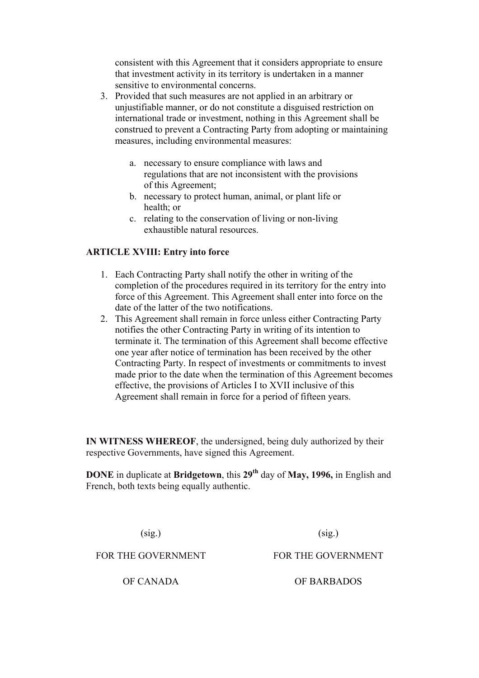consistent with this Agreement that it considers appropriate to ensure that investment activity in its territory is undertaken in a manner sensitive to environmental concerns.

- 3. Provided that such measures are not applied in an arbitrary or unjustifiable manner, or do not constitute a disguised restriction on international trade or investment, nothing in this Agreement shall be construed to prevent a Contracting Party from adopting or maintaining measures, including environmental measures:
	- a. necessary to ensure compliance with laws and regulations that are not inconsistent with the provisions of this Agreement;
	- b. necessary to protect human, animal, or plant life or health; or
	- c. relating to the conservation of living or non-living exhaustible natural resources.

## **ARTICLE XVIII: Entry into force**

- 1. Each Contracting Party shall notify the other in writing of the completion of the procedures required in its territory for the entry into force of this Agreement. This Agreement shall enter into force on the date of the latter of the two notifications.
- 2. This Agreement shall remain in force unless either Contracting Party notifies the other Contracting Party in writing of its intention to terminate it. The termination of this Agreement shall become effective one year after notice of termination has been received by the other Contracting Party. In respect of investments or commitments to invest made prior to the date when the termination of this Agreement becomes effective, the provisions of Articles I to XVII inclusive of this Agreement shall remain in force for a period of fifteen years.

**IN WITNESS WHEREOF**, the undersigned, being duly authorized by their respective Governments, have signed this Agreement.

**DONE** in duplicate at **Bridgetown**, this 29<sup>th</sup> day of **May, 1996**, in English and French, both texts being equally authentic.

 $(sig.)$ 

 $(sig.)$ 

FOR THE GOVERNMENT

FOR THE GOVERNMENT

OF CANADA OF BARBADOS